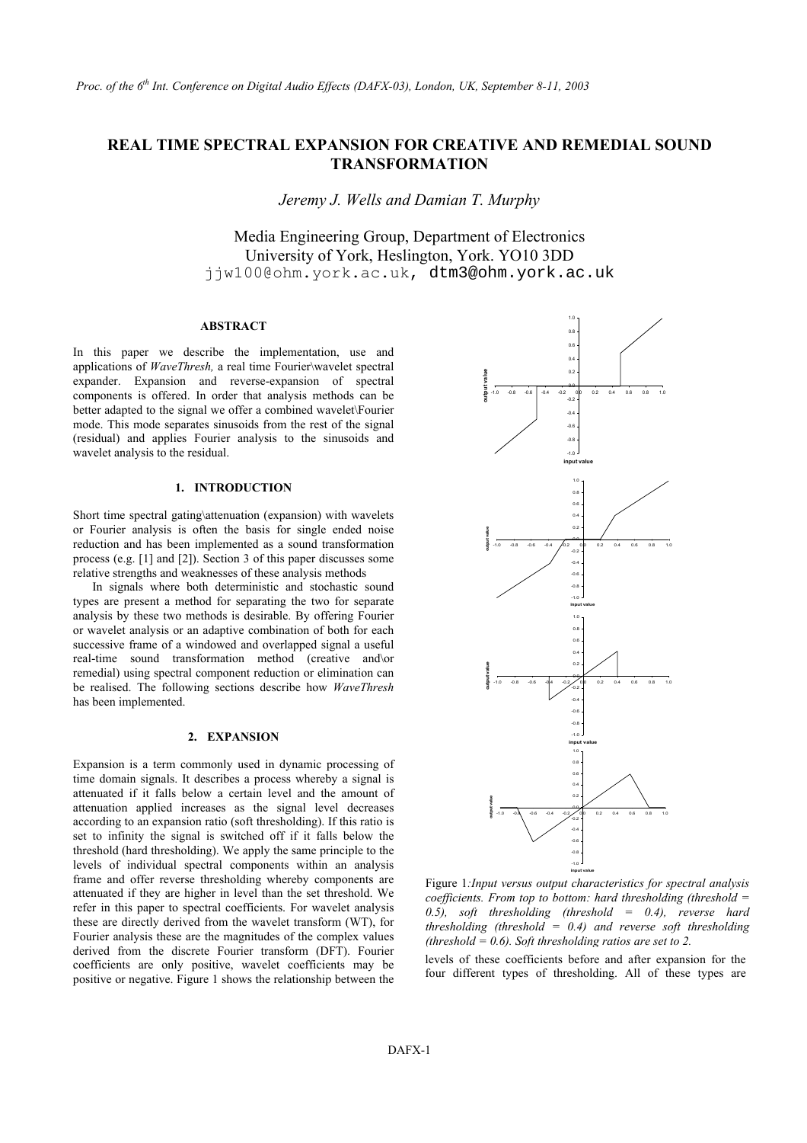# **REAL TIME SPECTRAL EXPANSION FOR CREATIVE AND REMEDIAL SOUND TRANSFORMATION**

*Jeremy J. Wells and Damian T. Murphy* 

Media Engineering Group, Department of Electronics University of York, Heslington, York. YO10 3DD jjw100@ohm.york.ac.uk, dtm3@ohm.york.ac.uk

# **ABSTRACT**

In this paper we describe the implementation, use and applications of *WaveThresh,* a real time Fourier\wavelet spectral expander. Expansion and reverse-expansion of spectral components is offered. In order that analysis methods can be better adapted to the signal we offer a combined wavelet\Fourier mode. This mode separates sinusoids from the rest of the signal (residual) and applies Fourier analysis to the sinusoids and wavelet analysis to the residual.

#### **1. INTRODUCTION**

Short time spectral gating\attenuation (expansion) with wavelets or Fourier analysis is often the basis for single ended noise reduction and has been implemented as a sound transformation process (e.g. [1] and [2]). Section 3 of this paper discusses some relative strengths and weaknesses of these analysis methods

In signals where both deterministic and stochastic sound types are present a method for separating the two for separate analysis by these two methods is desirable. By offering Fourier or wavelet analysis or an adaptive combination of both for each successive frame of a windowed and overlapped signal a useful real-time sound transformation method (creative and\or remedial) using spectral component reduction or elimination can be realised. The following sections describe how *WaveThresh* has been implemented.

## **2. EXPANSION**

Expansion is a term commonly used in dynamic processing of time domain signals. It describes a process whereby a signal is attenuated if it falls below a certain level and the amount of attenuation applied increases as the signal level decreases according to an expansion ratio (soft thresholding). If this ratio is set to infinity the signal is switched off if it falls below the threshold (hard thresholding). We apply the same principle to the levels of individual spectral components within an analysis frame and offer reverse thresholding whereby components are attenuated if they are higher in level than the set threshold. We refer in this paper to spectral coefficients. For wavelet analysis these are directly derived from the wavelet transform (WT), for Fourier analysis these are the magnitudes of the complex values derived from the discrete Fourier transform (DFT). Fourier coefficients are only positive, wavelet coefficients may be positive or negative. Figure 1 shows the relationship between the



Figure 1*:Input versus output characteristics for spectral analysis coefficients. From top to bottom: hard thresholding (threshold = 0.5), soft thresholding (threshold = 0.4), reverse hard thresholding (threshold = 0.4) and reverse soft thresholding (threshold = 0.6). Soft thresholding ratios are set to 2.*

levels of these coefficients before and after expansion for the four different types of thresholding. All of these types are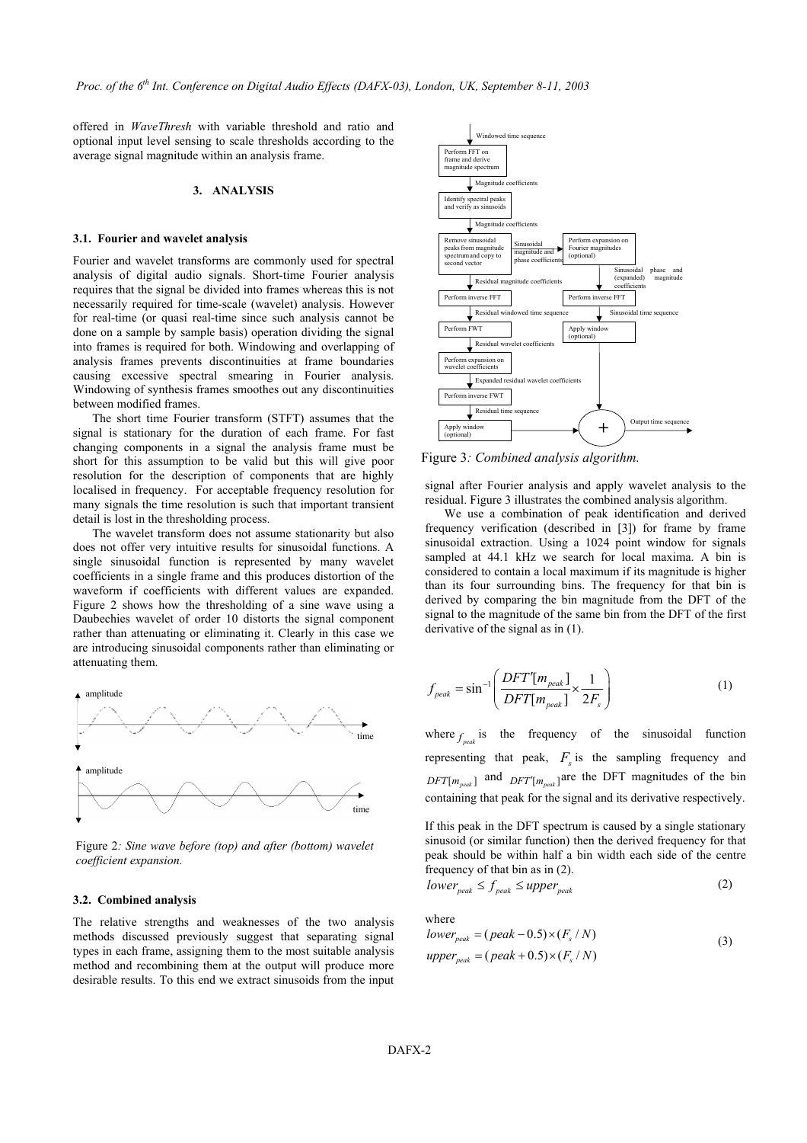offered in *WaveThresh* with variable threshold and ratio and optional input level sensing to scale thresholds according to the average signal magnitude within an analysis frame.

#### **3. ANALYSIS**

#### **3.1. Fourier and wavelet analysis**

Fourier and wavelet transforms are commonly used for spectral analysis of digital audio signals. Short-time Fourier analysis requires that the signal be divided into frames whereas this is not necessarily required for time-scale (wavelet) analysis. However for real-time (or quasi real-time since such analysis cannot be done on a sample by sample basis) operation dividing the signal into frames is required for both. Windowing and overlapping of analysis frames prevents discontinuities at frame boundaries causing excessive spectral smearing in Fourier analysis. Windowing of synthesis frames smoothes out any discontinuities between modified frames.

The short time Fourier transform (STFT) assumes that the signal is stationary for the duration of each frame. For fast changing components in a signal the analysis frame must be short for this assumption to be valid but this will give poor resolution for the description of components that are highly localised in frequency. For acceptable frequency resolution for many signals the time resolution is such that important transient detail is lost in the thresholding process.

The wavelet transform does not assume stationarity but also does not offer very intuitive results for sinusoidal functions. A single sinusoidal function is represented by many wavelet coefficients in a single frame and this produces distortion of the waveform if coefficients with different values are expanded. Figure 2 shows how the thresholding of a sine wave using a Daubechies wavelet of order 10 distorts the signal component rather than attenuating or eliminating it. Clearly in this case we are introducing sinusoidal components rather than eliminating or attenuating them.



Figure 2*: Sine wave before (top) and after (bottom) wavelet coefficient expansion.* 

#### **3.2. Combined analysis**

The relative strengths and weaknesses of the two analysis methods discussed previously suggest that separating signal types in each frame, assigning them to the most suitable analysis method and recombining them at the output will produce more desirable results. To this end we extract sinusoids from the input



Figure 3*: Combined analysis algorithm.*

signal after Fourier analysis and apply wavelet analysis to the residual. Figure 3 illustrates the combined analysis algorithm.

We use a combination of peak identification and derived frequency verification (described in [3]) for frame by frame sinusoidal extraction. Using a 1024 point window for signals sampled at 44.1 kHz we search for local maxima. A bin is considered to contain a local maximum if its magnitude is higher than its four surrounding bins. The frequency for that bin is derived by comparing the bin magnitude from the DFT of the signal to the magnitude of the same bin from the DFT of the first derivative of the signal as in (1).

amplitude  

$$
f_{peak} = \sin^{-1} \left( \frac{DFT[m_{peak}]}{DFT[m_{peak}]} \times \frac{1}{2F_s} \right)
$$
(1)

time where  $f_{\text{peak}}$  is the frequency of the sinusoidal function representing that peak,  $F<sub>s</sub>$  is the sampling frequency and  $DFT[m_{peak}]$  and  $DFT[m_{peak}]$  are the DFT magnitudes of the bin containing that peak for the signal and its derivative respectively.

> If this peak in the DFT spectrum is caused by a single stationary sinusoid (or similar function) then the derived frequency for that peak should be within half a bin width each side of the centre frequency of that bin as in (2).

$$
lower_{peak} \le f_{peak} \le upper_{peak} \tag{2}
$$

where

$$
lower_{peak} = (peak - 0.5) \times (F_s / N)
$$
  
upper<sub>peak</sub> = (peak + 0.5) \times (F\_s / N) (3)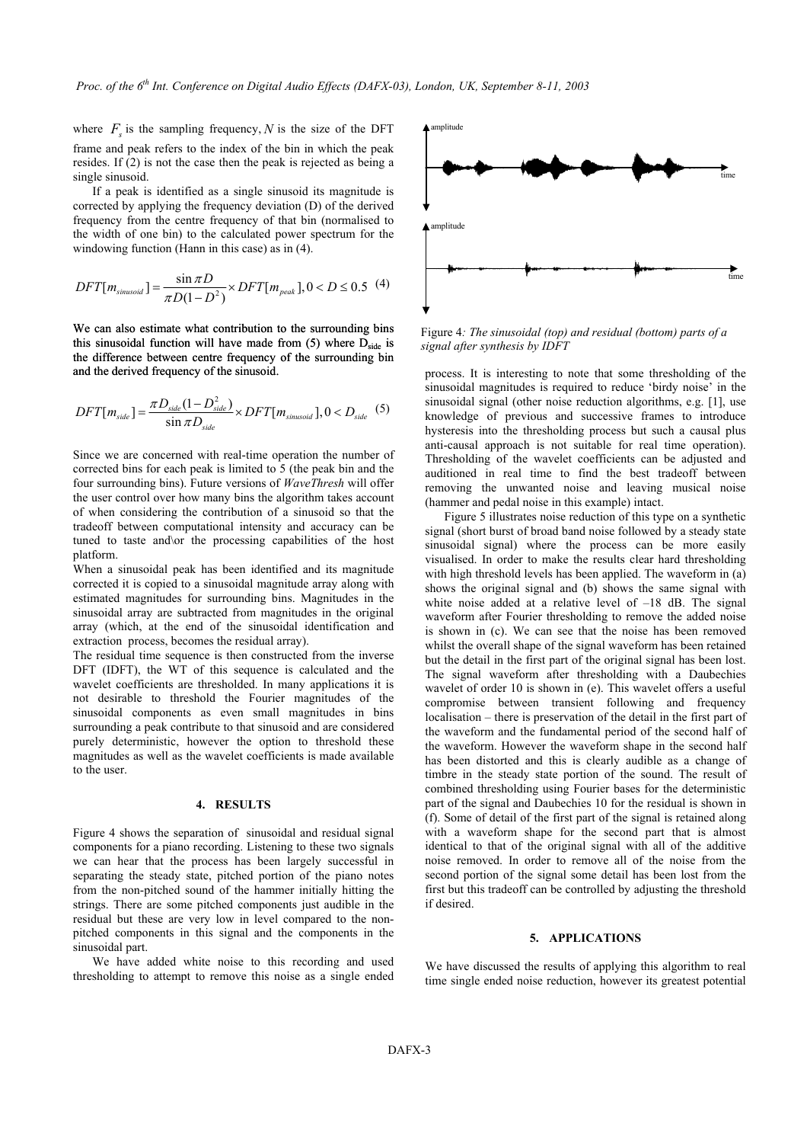where  $F_s$  is the sampling frequency, N is the size of the DFT frame and peak refers to the index of the bin in which the peak resides. If (2) is not the case then the peak is rejected as being a single sinusoid.

If a peak is identified as a single sinusoid its magnitude is corrected by applying the frequency deviation (D) of the derived frequency from the centre frequency of that bin (normalised to the width of one bin) to the calculated power spectrum for the windowing function (Hann in this case) as in (4).

$$
DFT[m_{\text{simsoid}}] = \frac{\sin \pi D}{\pi D(1 - D^2)} \times DFT[m_{\text{peak}}], 0 < D \le 0.5 \tag{4}
$$

We can also estimate what contribution to the surrounding bins this sinusoidal function will have made from  $(5)$  where  $D_{side}$  is the difference between centre frequency of the surrounding bin and the derived frequency of the sinusoid.

$$
DFT[m_{side}] = \frac{\pi D_{side}(1 - D_{side}^2)}{\sin \pi D_{side}} \times DFT[m_{sinusoid}], 0 < D_{side}
$$
 (5)

Since we are concerned with real-time operation the number of corrected bins for each peak is limited to 5 (the peak bin and the four surrounding bins). Future versions of *WaveThresh* will offer the user control over how many bins the algorithm takes account of when considering the contribution of a sinusoid so that the tradeoff between computational intensity and accuracy can be tuned to taste and\or the processing capabilities of the host platform.

When a sinusoidal peak has been identified and its magnitude corrected it is copied to a sinusoidal magnitude array along with estimated magnitudes for surrounding bins. Magnitudes in the sinusoidal array are subtracted from magnitudes in the original array (which, at the end of the sinusoidal identification and extraction process, becomes the residual array).

The residual time sequence is then constructed from the inverse DFT (IDFT), the WT of this sequence is calculated and the wavelet coefficients are thresholded. In many applications it is not desirable to threshold the Fourier magnitudes of the sinusoidal components as even small magnitudes in bins surrounding a peak contribute to that sinusoid and are considered purely deterministic, however the option to threshold these magnitudes as well as the wavelet coefficients is made available to the user.

#### **4. RESULTS**

Figure 4 shows the separation of sinusoidal and residual signal components for a piano recording. Listening to these two signals we can hear that the process has been largely successful in separating the steady state, pitched portion of the piano notes from the non-pitched sound of the hammer initially hitting the strings. There are some pitched components just audible in the residual but these are very low in level compared to the nonpitched components in this signal and the components in the sinusoidal part.

We have added white noise to this recording and used thresholding to attempt to remove this noise as a single ended



Figure 4*: The sinusoidal (top) and residual (bottom) parts of a signal after synthesis by IDFT* 

process. It is interesting to note that some thresholding of the sinusoidal magnitudes is required to reduce 'birdy noise' in the sinusoidal signal (other noise reduction algorithms, e.g. [1], use knowledge of previous and successive frames to introduce hysteresis into the thresholding process but such a causal plus anti-causal approach is not suitable for real time operation). Thresholding of the wavelet coefficients can be adjusted and auditioned in real time to find the best tradeoff between removing the unwanted noise and leaving musical noise (hammer and pedal noise in this example) intact.

Figure 5 illustrates noise reduction of this type on a synthetic signal (short burst of broad band noise followed by a steady state sinusoidal signal) where the process can be more easily visualised. In order to make the results clear hard thresholding with high threshold levels has been applied. The waveform in (a) shows the original signal and (b) shows the same signal with white noise added at a relative level of  $-18$  dB. The signal waveform after Fourier thresholding to remove the added noise is shown in (c). We can see that the noise has been removed whilst the overall shape of the signal waveform has been retained but the detail in the first part of the original signal has been lost. The signal waveform after thresholding with a Daubechies wavelet of order 10 is shown in (e). This wavelet offers a useful compromise between transient following and frequency localisation – there is preservation of the detail in the first part of the waveform and the fundamental period of the second half of the waveform. However the waveform shape in the second half has been distorted and this is clearly audible as a change of timbre in the steady state portion of the sound. The result of combined thresholding using Fourier bases for the deterministic part of the signal and Daubechies 10 for the residual is shown in (f). Some of detail of the first part of the signal is retained along with a waveform shape for the second part that is almost identical to that of the original signal with all of the additive noise removed. In order to remove all of the noise from the second portion of the signal some detail has been lost from the first but this tradeoff can be controlled by adjusting the threshold if desired.

#### **5. APPLICATIONS**

We have discussed the results of applying this algorithm to real time single ended noise reduction, however its greatest potential